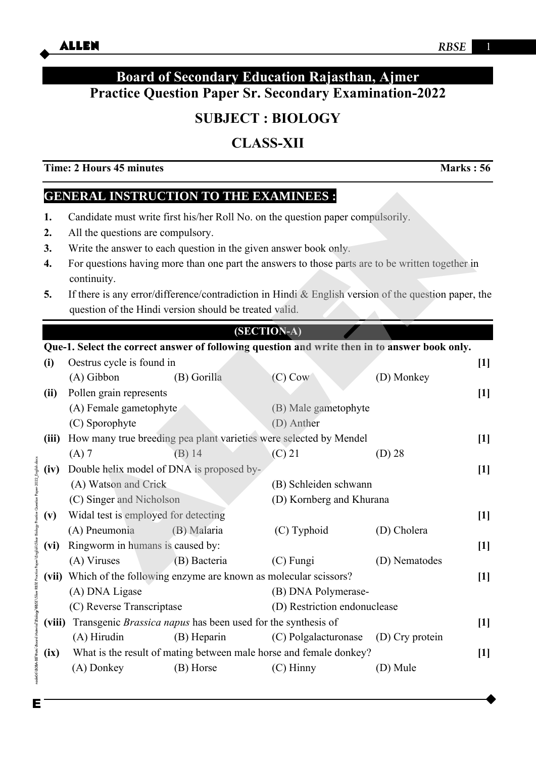## **Board of Secondary Education Rajasthan, Ajmer Practice Question Paper Sr. Secondary Examination-2022**

# **SUBJECT : BIOLOGY**

## **CLASS-XII**

**Time: 2 Hours 45 minutes Marks : 56** 

## **GENERAL INSTRUCTION TO THE EXAMINEES :**

- **1.** Candidate must write first his/her Roll No. on the question paper compulsorily.
- **2.** All the questions are compulsory.
- **3.** Write the answer to each question in the given answer book only.
- **4.** For questions having more than one part the answers to those parts are to be written together in continuity.
- **5.** If there is any error/difference/contradiction in Hindi & English version of the question paper, the question of the Hindi version should be treated valid.

### **(SECTION-A)**

# **EXERCISE TRACE TON TO THE DEVALUABLES**<br>
Candidate must write first his/her Roll No. on the question paper compulsorily.<br>
All the questions are compulsory.<br>
Write the answer to each question in the given answer book only. **Que-1. Select the correct answer of following question and write then in to answer book only. (i)** Oestrus cycle is found in **[1]**  (A) Gibbon (B) Gorilla (C) Cow (D) Monkey **(ii)** Pollen grain represents **[1]** (A) Female gametophyte (B) Male gametophyte (C) Sporophyte (D) Anther **(iii)** How many true breeding pea plant varieties were selected by Mendel **[1]** (A) 7 (B) 14 (C) 21 (D) 28 ode06\B0BA-BB\Kara\Board Material\Biology\RBSE\Siker RBSE Practice Paper\English\Sikar Biology Practice Question Paper-2022\_English.docx **(iv)** Double helix model of DNA is proposed by- **[1]** (A) Watson and Crick (B) Schleiden schwann (C) Singer and Nicholson (D) Kornberg and Khurana **(v)** Widal test is employed for detecting **[1]** (A) Pneumonia (B) Malaria (C) Typhoid (D) Cholera **(vi)** Ringworm in humans is caused by: **[1]** (A) Viruses (B) Bacteria (C) Fungi (D) Nematodes **(vii)** Which of the following enzyme are known as molecular scissors? **[1]** (A) DNA Ligase (B) DNA Polymerase- (C) Reverse Transcriptase (D) Restriction endonuclease **(viii)** Transgenic *Brassica napus* has been used for the synthesis of **[1]**  (A) Hirudin (B) Heparin (C) Polgalacturonase (D) Cry protein **(ix)** What is the result of mating between male horse and female donkey? **[1]** (A) Donkey (B) Horse (C) Hinny (D) Mule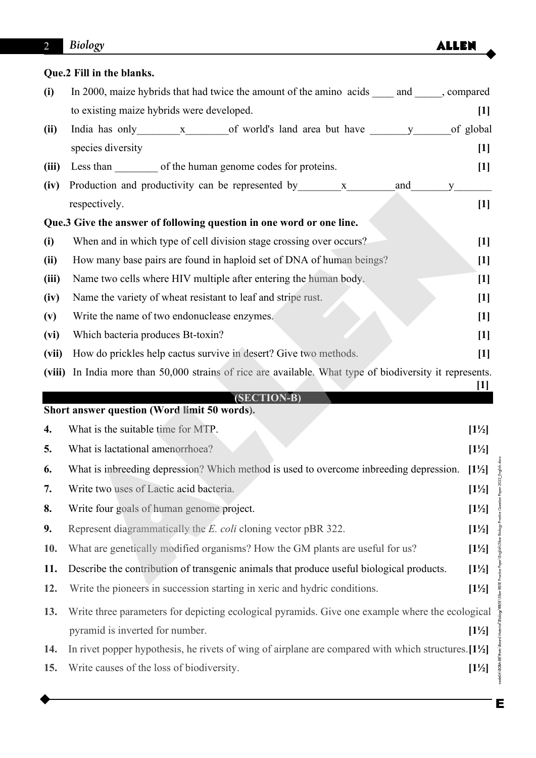## **Que.2 Fill in the blanks.**

| (i)    | In 2000, maize hybrids that had twice the amount of the amino acids ______ and ______, compared                |                  |
|--------|----------------------------------------------------------------------------------------------------------------|------------------|
|        | to existing maize hybrids were developed.                                                                      | $[1]$            |
| (ii)   |                                                                                                                |                  |
|        | species diversity                                                                                              | $[1]$            |
| (iii)  | Less than only of the human genome codes for proteins.                                                         | $[1]$            |
| (iv)   | Production and productivity can be represented by x______________________________<br>and<br>y                  |                  |
|        | respectively.                                                                                                  | $[1]$            |
|        | Que.3 Give the answer of following question in one word or one line.                                           |                  |
| (i)    | When and in which type of cell division stage crossing over occurs?                                            | $[1]$            |
| (ii)   | How many base pairs are found in haploid set of DNA of human beings?                                           | $[1]$            |
| (iii)  | Name two cells where HIV multiple after entering the human body.                                               | $[1]$            |
| (iv)   | Name the variety of wheat resistant to leaf and stripe rust.                                                   | $[1]$            |
| (v)    | Write the name of two endonuclease enzymes.                                                                    | $[1]$            |
| (vi)   | Which bacteria produces Bt-toxin?                                                                              | $[1]$            |
| (vii)  | How do prickles help cactus survive in desert? Give two methods.                                               | $[1]$            |
| (viii) | In India more than 50,000 strains of rice are available. What type of biodiversity it represents.              |                  |
|        | (SECTION-B)                                                                                                    | $[1]$            |
|        | Short answer question (Word limit 50 words).                                                                   |                  |
| 4.     | What is the suitable time for MTP.                                                                             |                  |
| 5.     |                                                                                                                | $[1\frac{1}{2}]$ |
|        | What is lactational amenorrhoea?                                                                               | $[1\frac{1}{2}]$ |
| 6.     | What is inbreeding depression? Which method is used to overcome inbreeding depression.                         | $[1\frac{1}{2}]$ |
| 7.     | Write two uses of Lactic acid bacteria.                                                                        | $[1\frac{1}{2}]$ |
| 8.     | Write four goals of human genome project.                                                                      | $[1\frac{1}{2}]$ |
| 9.     | Represent diagrammatically the <i>E. coli</i> cloning vector pBR 322.                                          | $[1\frac{1}{2}]$ |
| 10.    | What are genetically modified organisms? How the GM plants are useful for us?                                  | $[1\frac{1}{2}]$ |
| 11.    | Describe the contribution of transgenic animals that produce useful biological products.                       | $[1\frac{1}{2}]$ |
| 12.    | Write the pioneers in succession starting in xeric and hydric conditions.                                      | $[1\frac{1}{2}]$ |
| 13.    | Write three parameters for depicting ecological pyramids. Give one example where the ecological                |                  |
|        | pyramid is inverted for number.                                                                                | $[1\frac{1}{2}]$ |
| 14.    | In rivet popper hypothesis, he rivets of wing of airplane are compared with which structures. $[1\frac{1}{2}]$ |                  |